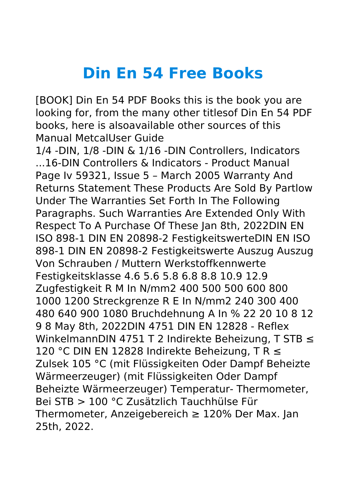## **Din En 54 Free Books**

[BOOK] Din En 54 PDF Books this is the book you are looking for, from the many other titlesof Din En 54 PDF books, here is alsoavailable other sources of this Manual MetcalUser Guide

1/4 -DIN, 1/8 -DIN & 1/16 -DIN Controllers, Indicators ...16-DIN Controllers & Indicators - Product Manual Page Iv 59321, Issue 5 – March 2005 Warranty And Returns Statement These Products Are Sold By Partlow Under The Warranties Set Forth In The Following Paragraphs. Such Warranties Are Extended Only With Respect To A Purchase Of These Jan 8th, 2022DIN EN ISO 898-1 DIN EN 20898-2 FestigkeitswerteDIN EN ISO 898-1 DIN EN 20898-2 Festigkeitswerte Auszug Auszug Von Schrauben / Muttern Werkstoffkennwerte Festigkeitsklasse 4.6 5.6 5.8 6.8 8.8 10.9 12.9 Zugfestigkeit R M In N/mm2 400 500 500 600 800 1000 1200 Streckgrenze R E In N/mm2 240 300 400 480 640 900 1080 Bruchdehnung A In % 22 20 10 8 12 9 8 May 8th, 2022DIN 4751 DIN EN 12828 - Reflex WinkelmannDIN 4751 T 2 Indirekte Beheizung, T STB ≤ 120 °C DIN EN 12828 Indirekte Beheizung, T R ≤ Zulsek 105 °C (mit Flüssigkeiten Oder Dampf Beheizte Wärmeerzeuger) (mit Flüssigkeiten Oder Dampf Beheizte Wärmeerzeuger) Temperatur- Thermometer, Bei STB > 100 °C Zusätzlich Tauchhülse Für Thermometer, Anzeigebereich ≥ 120% Der Max. Jan 25th, 2022.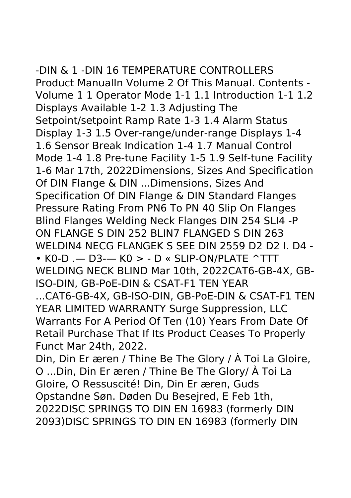## -DIN & 1 -DIN 16 TEMPERATURE CONTROLLERS

Product ManualIn Volume 2 Of This Manual. Contents - Volume 1 1 Operator Mode 1-1 1.1 Introduction 1-1 1.2 Displays Available 1-2 1.3 Adjusting The Setpoint/setpoint Ramp Rate 1-3 1.4 Alarm Status Display 1-3 1.5 Over-range/under-range Displays 1-4 1.6 Sensor Break Indication 1-4 1.7 Manual Control Mode 1-4 1.8 Pre-tune Facility 1-5 1.9 Self-tune Facility 1-6 Mar 17th, 2022Dimensions, Sizes And Specification Of DIN Flange & DIN ...Dimensions, Sizes And Specification Of DIN Flange & DIN Standard Flanges Pressure Rating From PN6 To PN 40 Slip On Flanges Blind Flanges Welding Neck Flanges DIN 254 SLI4 -P ON FLANGE S DIN 252 BLIN7 FLANGED S DIN 263 WELDIN4 NECG FLANGEK S SEE DIN 2559 D2 D2 I. D4 - • K0-D .— D3-— K0 > - D « SLIP-ON/PLATE ^TTT WELDING NECK BLIND Mar 10th, 2022CAT6-GB-4X, GB-ISO-DIN, GB-PoE-DIN & CSAT-F1 TEN YEAR ...CAT6-GB-4X, GB-ISO-DIN, GB-PoE-DIN & CSAT-F1 TEN YEAR LIMITED WARRANTY Surge Suppression, LLC Warrants For A Period Of Ten (10) Years From Date Of Retail Purchase That If Its Product Ceases To Properly Funct Mar 24th, 2022. Din, Din Er æren / Thine Be The Glory / À Toi La Gloire,

O ...Din, Din Er æren / Thine Be The Glory/ À Toi La Gloire, O Ressuscité! Din, Din Er æren, Guds Opstandne Søn. Døden Du Besejred, E Feb 1th, 2022DISC SPRINGS TO DIN EN 16983 (formerly DIN 2093)DISC SPRINGS TO DIN EN 16983 (formerly DIN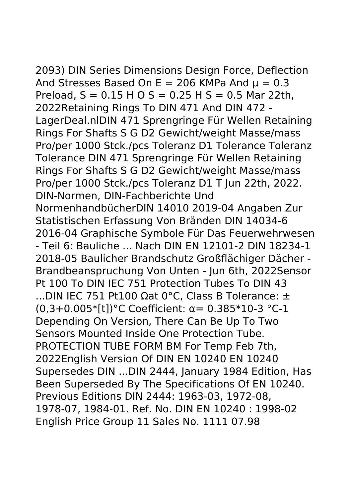2093) DIN Series Dimensions Design Force, Deflection And Stresses Based On  $E = 206$  KMPa And  $\mu = 0.3$ Preload,  $S = 0.15$  H O S = 0.25 H S = 0.5 Mar 22th, 2022Retaining Rings To DIN 471 And DIN 472 - LagerDeal.nlDIN 471 Sprengringe Für Wellen Retaining Rings For Shafts S G D2 Gewicht/weight Masse/mass Pro/per 1000 Stck./pcs Toleranz D1 Tolerance Toleranz Tolerance DIN 471 Sprengringe Für Wellen Retaining Rings For Shafts S G D2 Gewicht/weight Masse/mass Pro/per 1000 Stck./pcs Toleranz D1 T Jun 22th, 2022. DIN-Normen, DIN-Fachberichte Und NormenhandbücherDIN 14010 2019-04 Angaben Zur Statistischen Erfassung Von Bränden DIN 14034-6 2016-04 Graphische Symbole Für Das Feuerwehrwesen - Teil 6: Bauliche ... Nach DIN EN 12101-2 DIN 18234-1 2018-05 Baulicher Brandschutz Großflächiger Dächer - Brandbeanspruchung Von Unten - Jun 6th, 2022Sensor Pt 100 To DIN IEC 751 Protection Tubes To DIN 43 ...DIN IEC 751 Pt100 Ωat 0°C, Class B Tolerance:  $±$ (0,3+0.005\*[t])°C Coefficient: α= 0.385\*10-3 °C-1 Depending On Version, There Can Be Up To Two Sensors Mounted Inside One Protection Tube. PROTECTION TUBE FORM BM For Temp Feb 7th, 2022English Version Of DIN EN 10240 EN 10240 Supersedes DIN ...DIN 2444, January 1984 Edition, Has Been Superseded By The Specifications Of EN 10240. Previous Editions DIN 2444: 1963-03, 1972-08, 1978-07, 1984-01. Ref. No. DIN EN 10240 : 1998-02 English Price Group 11 Sales No. 1111 07.98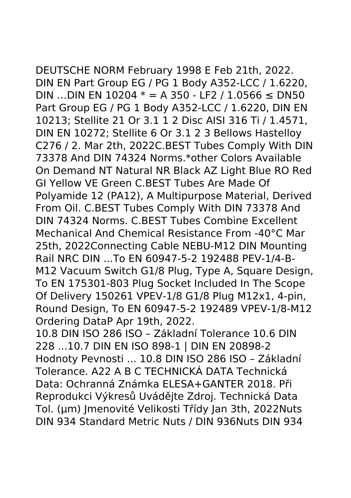DEUTSCHE NORM February 1998 E Feb 21th, 2022. DIN EN Part Group EG / PG 1 Body A352-LCC / 1.6220, DIN …DIN EN 10204  $*$  = A 350 - LF2 / 1.0566 ≤ DN50 Part Group EG / PG 1 Body A352-LCC / 1.6220, DIN EN 10213; Stellite 21 Or 3.1 1 2 Disc AISI 316 Ti / 1.4571, DIN EN 10272; Stellite 6 Or 3.1 2 3 Bellows Hastelloy C276 / 2. Mar 2th, 2022C.BEST Tubes Comply With DIN 73378 And DIN 74324 Norms.\*other Colors Available On Demand NT Natural NR Black AZ Light Blue RO Red GI Yellow VE Green C.BEST Tubes Are Made Of Polyamide 12 (PA12), A Multipurpose Material, Derived From Oil. C.BEST Tubes Comply With DIN 73378 And DIN 74324 Norms. C.BEST Tubes Combine Excellent Mechanical And Chemical Resistance From -40°C Mar 25th, 2022Connecting Cable NEBU-M12 DIN Mounting Rail NRC DIN ...To EN 60947-5-2 192488 PEV-1/4-B-M12 Vacuum Switch G1/8 Plug, Type A, Square Design, To EN 175301-803 Plug Socket Included In The Scope Of Delivery 150261 VPEV-1/8 G1/8 Plug M12x1, 4-pin, Round Design, To EN 60947-5-2 192489 VPEV-1/8-M12 Ordering DataP Apr 19th, 2022.

10.8 DIN ISO 286 ISO – Základní Tolerance 10.6 DIN 228 ...10.7 DIN EN ISO 898-1 | DIN EN 20898-2 Hodnoty Pevnosti ... 10.8 DIN ISO 286 ISO – Základní Tolerance. A22 A B C TECHNICKÁ DATA Technická Data: Ochranná Známka ELESA+GANTER 2018. Při Reprodukci Výkresů Uvádějte Zdroj. Technická Data Tol. (μm) Jmenovité Velikosti Třídy Jan 3th, 2022Nuts DIN 934 Standard Metric Nuts / DIN 936Nuts DIN 934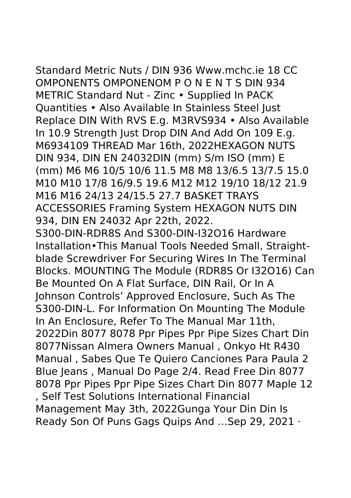Standard Metric Nuts / DIN 936 Www.mchc.ie 18 CC OMPONENTS OMPONENOM P O N E N T S DIN 934 METRIC Standard Nut - Zinc • Supplied In PACK Quantities • Also Available In Stainless Steel Just Replace DIN With RVS E.g. M3RVS934 • Also Available In 10.9 Strength Just Drop DIN And Add On 109 E.g. M6934109 THREAD Mar 16th, 2022HEXAGON NUTS DIN 934, DIN EN 24032DIN (mm) S/m ISO (mm) E (mm) M6 M6 10/5 10/6 11.5 M8 M8 13/6.5 13/7.5 15.0 M10 M10 17/8 16/9.5 19.6 M12 M12 19/10 18/12 21.9 M16 M16 24/13 24/15.5 27.7 BASKET TRAYS ACCESSORIES Framing System HEXAGON NUTS DIN 934, DIN EN 24032 Apr 22th, 2022. S300-DIN-RDR8S And S300-DIN-I32O16 Hardware Installation•This Manual Tools Needed Small, Straightblade Screwdriver For Securing Wires In The Terminal Blocks. MOUNTING The Module (RDR8S Or I32O16) Can Be Mounted On A Flat Surface, DIN Rail, Or In A Johnson Controls' Approved Enclosure, Such As The S300-DIN-L. For Information On Mounting The Module In An Enclosure, Refer To The Manual Mar 11th, 2022Din 8077 8078 Ppr Pipes Ppr Pipe Sizes Chart Din 8077Nissan Almera Owners Manual , Onkyo Ht R430 Manual , Sabes Que Te Quiero Canciones Para Paula 2 Blue Jeans , Manual Do Page 2/4. Read Free Din 8077 8078 Ppr Pipes Ppr Pipe Sizes Chart Din 8077 Maple 12 , Self Test Solutions International Financial Management May 3th, 2022Gunga Your Din Din Is Ready Son Of Puns Gags Quips And …Sep 29, 2021 ·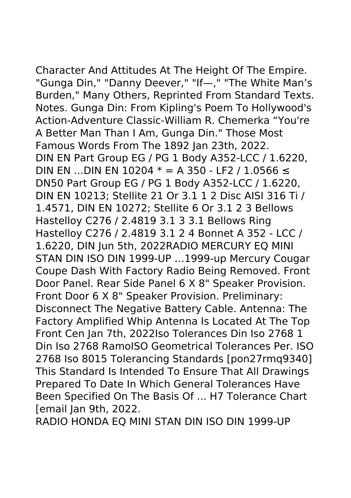Character And Attitudes At The Height Of The Empire. "Gunga Din," "Danny Deever," "If—," "The White Man's Burden," Many Others, Reprinted From Standard Texts. Notes. Gunga Din: From Kipling's Poem To Hollywood's Action-Adventure Classic-William R. Chemerka "You're A Better Man Than I Am, Gunga Din." Those Most Famous Words From The 1892 Jan 23th, 2022. DIN EN Part Group EG / PG 1 Body A352-LCC / 1.6220, DIN EN ...DIN EN 10204  $*$  = A 350 - LF2 / 1.0566 ≤ DN50 Part Group EG / PG 1 Body A352-LCC / 1.6220, DIN EN 10213; Stellite 21 Or 3.1 1 2 Disc AISI 316 Ti / 1.4571, DIN EN 10272; Stellite 6 Or 3.1 2 3 Bellows Hastelloy C276 / 2.4819 3.1 3 3.1 Bellows Ring Hastelloy C276 / 2.4819 3.1 2 4 Bonnet A 352 - LCC / 1.6220, DIN Jun 5th, 2022RADIO MERCURY EQ MINI STAN DIN ISO DIN 1999-UP …1999-up Mercury Cougar Coupe Dash With Factory Radio Being Removed. Front Door Panel. Rear Side Panel 6 X 8" Speaker Provision. Front Door 6 X 8" Speaker Provision. Preliminary: Disconnect The Negative Battery Cable. Antenna: The Factory Amplified Whip Antenna Is Located At The Top Front Cen Jan 7th, 2022Iso Tolerances Din Iso 2768 1 Din Iso 2768 RamoISO Geometrical Tolerances Per. ISO 2768 Iso 8015 Tolerancing Standards [pon27rmq9340] This Standard Is Intended To Ensure That All Drawings Prepared To Date In Which General Tolerances Have Been Specified On The Basis Of ... H7 Tolerance Chart [email Jan 9th, 2022.

RADIO HONDA EQ MINI STAN DIN ISO DIN 1999-UP